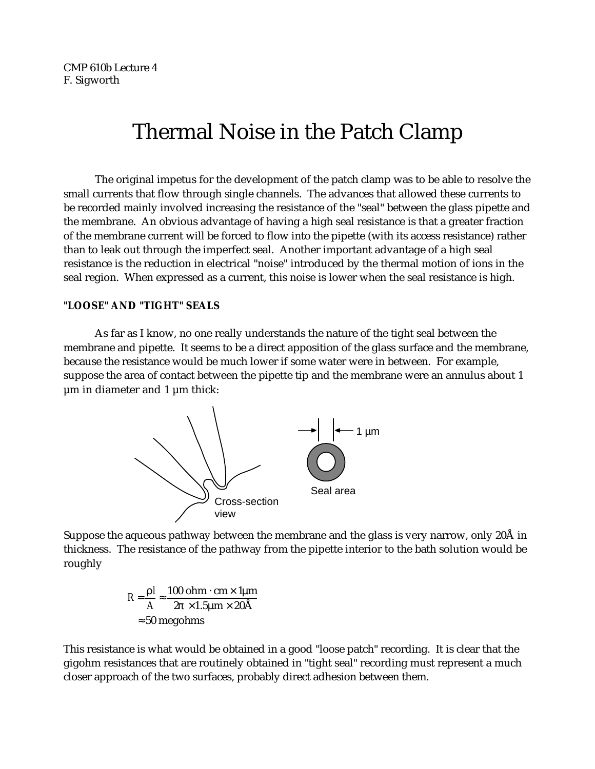CMP 610b Lecture 4 F. Sigworth

# Thermal Noise in the Patch Clamp

The original impetus for the development of the patch clamp was to be able to resolve the small currents that flow through single channels. The advances that allowed these currents to be recorded mainly involved increasing the resistance of the "seal" between the glass pipette and the membrane. An obvious advantage of having a high seal resistance is that a greater fraction of the membrane current will be forced to flow into the pipette (with its access resistance) rather than to leak out through the imperfect seal. Another important advantage of a high seal resistance is the reduction in electrical "noise" introduced by the thermal motion of ions in the seal region. When expressed as a current, this noise is lower when the seal resistance is high.

## **"LOOSE" AND "TIGHT" SEALS**

As far as I know, no one really understands the nature of the tight seal between the membrane and pipette. It seems to be a direct apposition of the glass surface and the membrane, because the resistance would be much lower if some water were in between. For example, suppose the area of contact between the pipette tip and the membrane were an annulus about 1 µm in diameter and 1 µm thick:



Suppose the aqueous pathway between the membrane and the glass is very narrow, only 20Å in thickness. The resistance of the pathway from the pipette interior to the bath solution would be roughly

$$
R = \frac{1}{A} = \frac{100 \text{ ohm cm} \times 1 \mu\text{m}}{2 \times 1.5 \mu\text{m} \times 20 \text{\AA}}
$$
  
50 megohms

This resistance is what would be obtained in a good "loose patch" recording. It is clear that the gigohm resistances that are routinely obtained in "tight seal" recording must represent a much closer approach of the two surfaces, probably direct adhesion between them.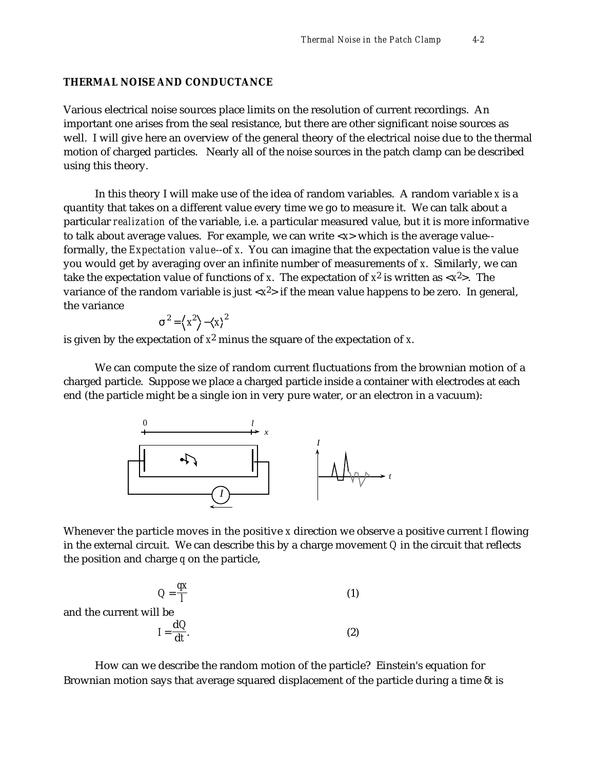#### **THERMAL NOISE AND CONDUCTANCE**

Various electrical noise sources place limits on the resolution of current recordings. An important one arises from the seal resistance, but there are other significant noise sources as well. I will give here an overview of the general theory of the electrical noise due to the thermal motion of charged particles. Nearly all of the noise sources in the patch clamp can be described using this theory.

In this theory I will make use of the idea of random variables. A random variable *x* is a quantity that takes on a different value every time we go to measure it. We can talk about a particular *realization* of the variable, i.e. a particular measured value, but it is more informative to talk about average values. For example, we can write <*x*> which is the average value- formally, the *Expectation value*--of *x*. You can imagine that the expectation value is the value you would get by averaging over an infinite number of measurements of *x*. Similarly, we can take the expectation value of functions of *x*. The expectation of *x* 2 is written as <*x* 2>. The variance of the random variable is just <*x* 2> if the mean value happens to be zero. In general, the variance

$$
^{2}=\left\langle x^{2}\right\rangle -\left\langle x\right\rangle ^{2}
$$

is given by the expectation of *x* 2 minus the square of the expectation of *x*.

We can compute the size of random current fluctuations from the brownian motion of a charged particle. Suppose we place a charged particle inside a container with electrodes at each end (the particle might be a single ion in very pure water, or an electron in a vacuum):



Whenever the particle moves in the positive *x* direction we observe a positive current *I* flowing in the external circuit. We can describe this by a charge movement *Q* in the circuit that reflects the position and charge *q* on the particle,

$$
Q = \frac{qx}{l}
$$
 (1)  
ll be

and the current wil

$$
I = \frac{dQ}{dt}.
$$
 (2)

How can we describe the random motion of the particle? Einstein's equation for Brownian motion says that average squared displacement of the particle during a time *t* is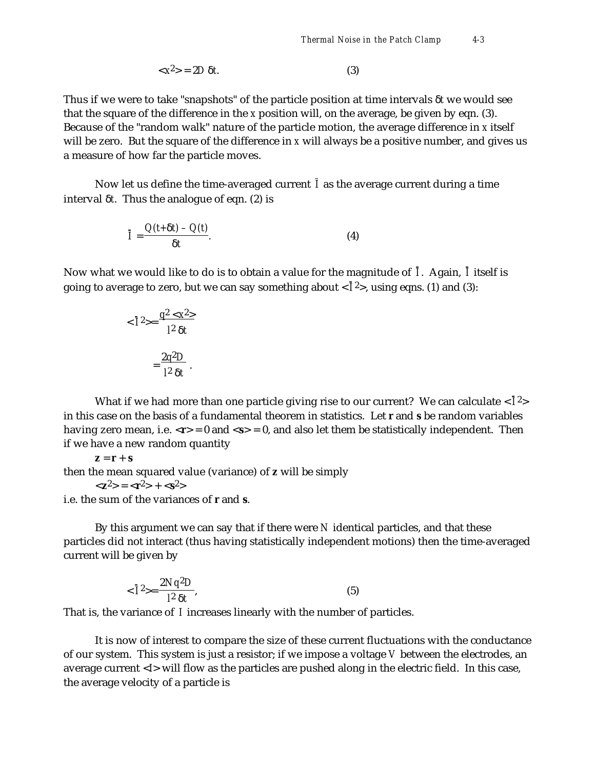$$
\langle x^2 \rangle = 2D \quad t. \tag{3}
$$

Thus if we were to take "snapshots" of the particle position at time intervals *t* we would see that the square of the difference in the *x* position will, on the average, be given by eqn. (3). Because of the "random walk" nature of the particle motion, the average difference in *x* itself will be zero. But the square of the difference in *x* will always be a positive number, and gives us a measure of how far the particle moves.

Now let us define the time-averaged current *I* as the average current during a time interval *t*. Thus the analogue of eqn. (2) is

$$
\overline{I} = \frac{Q(t+ t) - Q(t)}{t}.
$$
 (4)

Now what we would like to do is to obtain a value for the magnitude of *I* . Again, *I* itself is going to average to zero, but we can say something about < *I* 2>, using eqns. (1) and (3):

$$
\langle \bar{I}^2 \rangle = \frac{q^2 \langle x^2 \rangle}{l^2 t}
$$

$$
= \frac{2q^2 D}{l^2 t}.
$$

What if we had more than one particle giving rise to our current? We can calculate  $<\!\!\bar{I}^2\!\!>$ in this case on the basis of a fundamental theorem in statistics. Let **r** and **s** be random variables having zero mean, i.e.  $\langle r \rangle = 0$  and  $\langle s \rangle = 0$ , and also let them be statistically independent. Then if we have a new random quantity

 $z = r + s$ then the mean squared value (variance) of **z** will be simply  $\langle z^2 \rangle = \langle r^2 \rangle + \langle s^2 \rangle$ 

i.e. the sum of the variances of **r** and **s**.

By this argument we can say that if there were *N* identical particles, and that these particles did not interact (thus having statistically independent motions) then the time-averaged current will be given by

$$
\langle \bar{1}^2 \rangle = \frac{2Nq^2D}{l^2 t},\tag{5}
$$

That is, the variance of *I* increases linearly with the number of particles.

It is now of interest to compare the size of these current fluctuations with the conductance of our system. This system is just a resistor; if we impose a voltage *V* between the electrodes, an average current <*I*> will flow as the particles are pushed along in the electric field. In this case, the average velocity of a particle is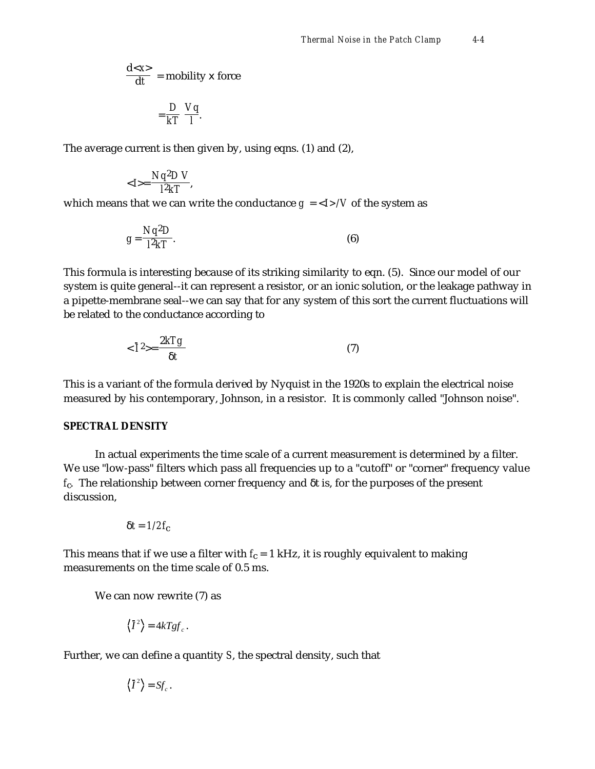$$
\frac{d\langle x \rangle}{dt} = \text{mobility} \times \text{force}
$$

$$
= \frac{D}{kT} \frac{Vq}{l}.
$$

The average current is then given by, using eqns. (1) and (2),

$$
\langle I \rangle = \frac{Nq^2DV}{l^2kT},
$$

which means that we can write the conductance  $g = \langle I \rangle / V$  of the system as

$$
g = \frac{Nq^2D}{l^2kT}.
$$
 (6)

This formula is interesting because of its striking similarity to eqn. (5). Since our model of our system is quite general--it can represent a resistor, or an ionic solution, or the leakage pathway in a pipette-membrane seal--we can say that for any system of this sort the current fluctuations will be related to the conductance according to

$$
\langle \bar{1}^2 \rangle = \frac{2kTg}{t} \tag{7}
$$

This is a variant of the formula derived by Nyquist in the 1920s to explain the electrical noise measured by his contemporary, Johnson, in a resistor. It is commonly called "Johnson noise".

#### **SPECTRAL DENSITY**

In actual experiments the time scale of a current measurement is determined by a filter. We use "low-pass" filters which pass all frequencies up to a "cutoff" or "corner" frequency value *f*c. The relationship between corner frequency and t is, for the purposes of the present discussion,

$$
t = 1/2f_{\rm c}
$$

This means that if we use a filter with  $f_c = 1$  kHz, it is roughly equivalent to making measurements on the time scale of 0.5 ms.

We can now rewrite (7) as

$$
\langle \bar{I}^2 \rangle = 4kTgf_c.
$$

Further, we can define a quantity *S*, the spectral density, such that

$$
\langle \bar{I}^2 \rangle = S f_c.
$$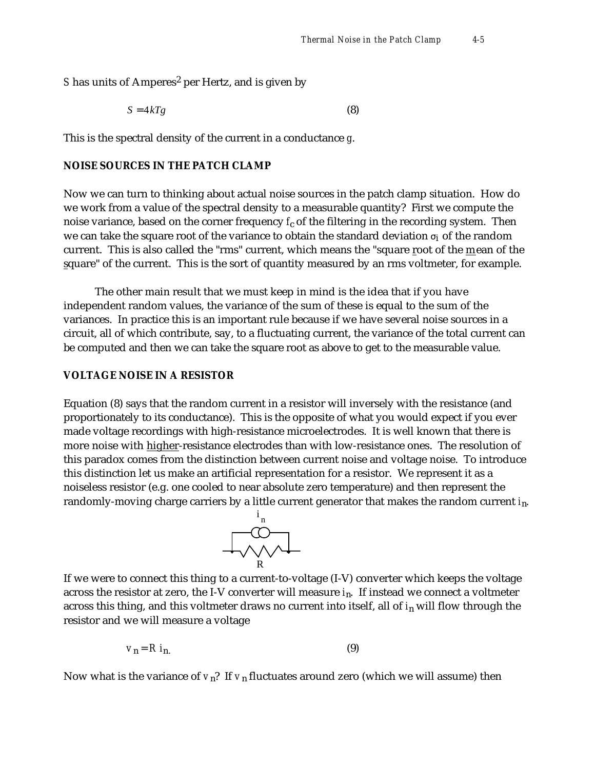S has units of Amperes<sup>2</sup> per Hertz, and is given by

$$
S = 4kTg \tag{8}
$$

This is the spectral density of the current in a conductance *g*.

## **NOISE SOURCES IN THE PATCH CLAMP**

Now we can turn to thinking about actual noise sources in the patch clamp situation. How do we work from a value of the spectral density to a measurable quantity? First we compute the noise variance, based on the corner frequency *f<sub>c</sub>* of the filtering in the recording system. Then we can take the square root of the variance to obtain the standard deviation  $_{\, {\bf i}}$  of the random current. This is also called the "rms" current, which means the "square root of the mean of the square" of the current. This is the sort of quantity measured by an rms voltmeter, for example.

The other main result that we must keep in mind is the idea that if you have independent random values, the variance of the sum of these is equal to the sum of the variances. In practice this is an important rule because if we have several noise sources in a circuit, all of which contribute, say, to a fluctuating current, the variance of the total current can be computed and then we can take the square root as above to get to the measurable value.

## **VOLTAGE NOISE IN A RESISTOR**

Equation (8) says that the random current in a resistor will inversely with the resistance (and proportionately to its conductance). This is the opposite of what you would expect if you ever made voltage recordings with high-resistance microelectrodes. It is well known that there is more noise with higher-resistance electrodes than with low-resistance ones. The resolution of this paradox comes from the distinction between current noise and voltage noise. To introduce this distinction let us make an artificial representation for a resistor. We represent it as a noiseless resistor (e.g. one cooled to near absolute zero temperature) and then represent the randomly-moving charge carriers by a little current generator that makes the random current *i*n.



If we were to connect this thing to a current-to-voltage (I-V) converter which keeps the voltage across the resistor at zero, the I-V converter will measure *i*n. If instead we connect a voltmeter across this thing, and this voltmeter draws no current into itself, all of *i*n will flow through the resistor and we will measure a voltage

$$
v_{n} = R i_{n} \tag{9}
$$

Now what is the variance of  $v_n$ ? If  $v_n$  fluctuates around zero (which we will assume) then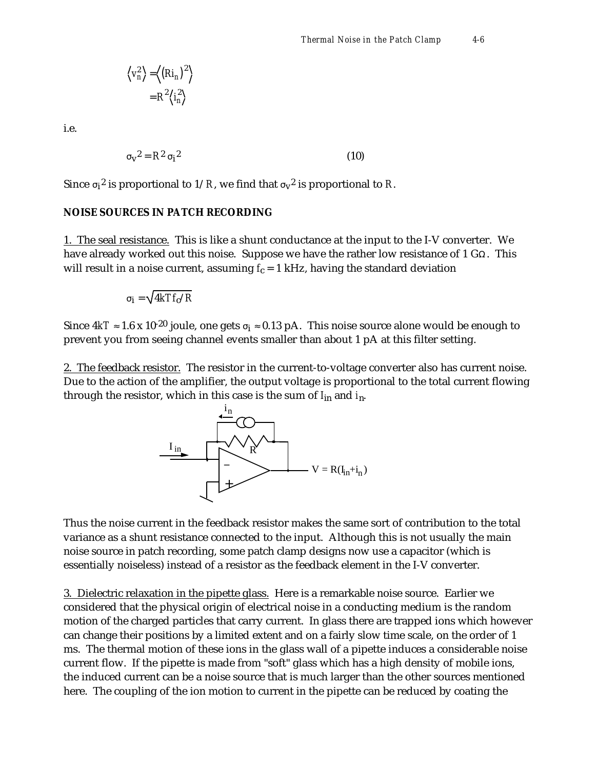$$
\left\langle v_n^2 \right\rangle = \left\langle \left(Ri_n\right)^2 \right\rangle
$$

$$
= R^2 \left\langle i_n^2 \right\rangle
$$

i.e.

$$
\mathbf{v}^2 = \mathbf{R}^2 \quad \mathbf{i}^2 \tag{10}
$$

Since  $\mathrm{i}^2$  is proportional to  $1/R$ , we find that  $\mathrm{v}^2$  is proportional to  $R$ .

### **NOISE SOURCES IN PATCH RECORDING**

1. The seal resistance. This is like a shunt conductance at the input to the I-V converter. We have already worked out this noise. Suppose we have the rather low resistance of  $1 \text{ G}$ . This will result in a noise current, assuming  $f_c = 1$  kHz, having the standard deviation

$$
i = \sqrt{4kTf_c/R}
$$

Since 4kT  $\,$  1.6 x 10<sup>-20</sup> joule, one gets  $\,$   $_{\rm i}$   $\,$  0.13 pA. This noise source alone would be enough to prevent you from seeing channel events smaller than about 1 pA at this filter setting.

2. The feedback resistor. The resistor in the current-to-voltage converter also has current noise. Due to the action of the amplifier, the output voltage is proportional to the total current flowing through the resistor, which in this case is the sum of *I*in and *i*n.



Thus the noise current in the feedback resistor makes the same sort of contribution to the total variance as a shunt resistance connected to the input. Although this is not usually the main noise source in patch recording, some patch clamp designs now use a capacitor (which is essentially noiseless) instead of a resistor as the feedback element in the I-V converter.

3. Dielectric relaxation in the pipette glass. Here is a remarkable noise source. Earlier we considered that the physical origin of electrical noise in a conducting medium is the random motion of the charged particles that carry current. In glass there are trapped ions which however can change their positions by a limited extent and on a fairly slow time scale, on the order of 1 ms. The thermal motion of these ions in the glass wall of a pipette induces a considerable noise current flow. If the pipette is made from "soft" glass which has a high density of mobile ions, the induced current can be a noise source that is much larger than the other sources mentioned here. The coupling of the ion motion to current in the pipette can be reduced by coating the